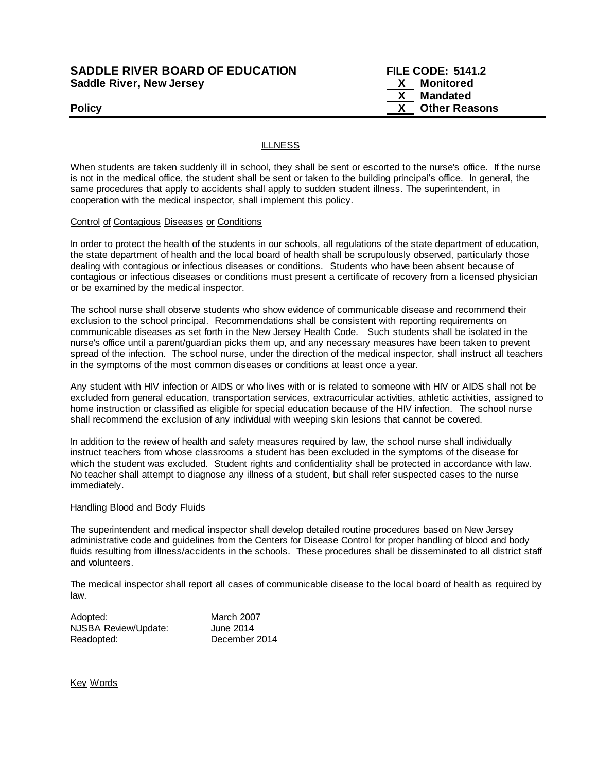## **SADDLE RIVER BOARD OF EDUCATION FILE CODE: 5141.2 Saddle River, New Jersey X Monitored**

 **X Mandated Policy Policy Policy Policy** *COLOREGISTS COLOREGISTS COLOREGISTS* **<b>***COLOREGISTS* 

### **ILLNESS**

When students are taken suddenly ill in school, they shall be sent or escorted to the nurse's office. If the nurse is not in the medical office, the student shall be sent or taken to the building principal's office. In general, the same procedures that apply to accidents shall apply to sudden student illness. The superintendent, in cooperation with the medical inspector, shall implement this policy.

#### Control of Contagious Diseases or Conditions

In order to protect the health of the students in our schools, all regulations of the state department of education, the state department of health and the local board of health shall be scrupulously observed, particularly those dealing with contagious or infectious diseases or conditions. Students who have been absent because of contagious or infectious diseases or conditions must present a certificate of recovery from a licensed physician or be examined by the medical inspector.

The school nurse shall observe students who show evidence of communicable disease and recommend their exclusion to the school principal. Recommendations shall be consistent with reporting requirements on communicable diseases as set forth in the New Jersey Health Code. Such students shall be isolated in the nurse's office until a parent/guardian picks them up, and any necessary measures have been taken to prevent spread of the infection. The school nurse, under the direction of the medical inspector, shall instruct all teachers in the symptoms of the most common diseases or conditions at least once a year.

Any student with HIV infection or AIDS or who lives with or is related to someone with HIV or AIDS shall not be excluded from general education, transportation services, extracurricular activities, athletic activities, assigned to home instruction or classified as eligible for special education because of the HIV infection. The school nurse shall recommend the exclusion of any individual with weeping skin lesions that cannot be covered.

In addition to the review of health and safety measures required by law, the school nurse shall individually instruct teachers from whose classrooms a student has been excluded in the symptoms of the disease for which the student was excluded. Student rights and confidentiality shall be protected in accordance with law. No teacher shall attempt to diagnose any illness of a student, but shall refer suspected cases to the nurse immediately.

#### Handling Blood and Body Fluids

The superintendent and medical inspector shall develop detailed routine procedures based on New Jersey administrative code and guidelines from the Centers for Disease Control for proper handling of blood and body fluids resulting from illness/accidents in the schools. These procedures shall be disseminated to all district staff and volunteers.

The medical inspector shall report all cases of communicable disease to the local board of health as required by law.

| Adopted:             | March 2007    |
|----------------------|---------------|
| NJSBA Review/Update: | June 2014     |
| Readopted:           | December 2014 |

Key Words